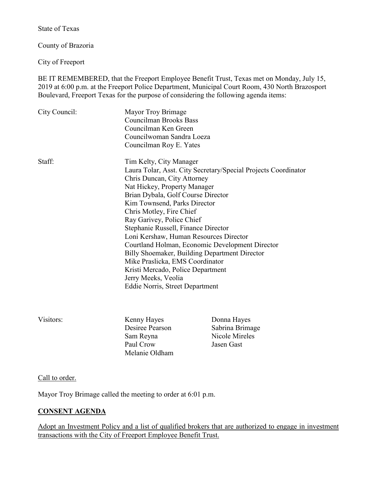State of Texas

County of Brazoria

City of Freeport

BE IT REMEMBERED, that the Freeport Employee Benefit Trust, Texas met on Monday, July 15, 2019 at 6:00 p.m. at the Freeport Police Department, Municipal Court Room, 430 North Brazosport Boulevard, Freeport Texas for the purpose of considering the following agenda items:

| City Council: | Mayor Troy Brimage                                             |
|---------------|----------------------------------------------------------------|
|               | <b>Councilman Brooks Bass</b>                                  |
|               | Councilman Ken Green                                           |
|               | Councilwoman Sandra Loeza                                      |
|               | Councilman Roy E. Yates                                        |
| Staff:        | Tim Kelty, City Manager                                        |
|               | Laura Tolar, Asst. City Secretary/Special Projects Coordinator |
|               | Chris Duncan, City Attorney                                    |
|               | Nat Hickey, Property Manager                                   |
|               | Brian Dybala, Golf Course Director                             |
|               | Kim Townsend, Parks Director                                   |
|               | Chris Motley, Fire Chief                                       |
|               | Ray Garivey, Police Chief                                      |
|               | Stephanie Russell, Finance Director                            |
|               | Loni Kershaw, Human Resources Director                         |
|               | Courtland Holman, Economic Development Director                |
|               | Billy Shoemaker, Building Department Director                  |
|               | Mike Praslicka, EMS Coordinator                                |
|               | Kristi Mercado, Police Department                              |
|               | Jerry Meeks, Veolia                                            |
|               | Eddie Norris, Street Department                                |
|               |                                                                |
|               |                                                                |

Visitors: Kenny Hayes Donna Hayes Desiree Pearson Sabrina Brimage Sam Reyna Nicole Mireles Paul Crow Jasen Gast Melanie Oldham

## Call to order.

Mayor Troy Brimage called the meeting to order at 6:01 p.m.

## **CONSENT AGENDA**

Adopt an Investment Policy and a list of qualified brokers that are authorized to engage in investment transactions with the City of Freeport Employee Benefit Trust.